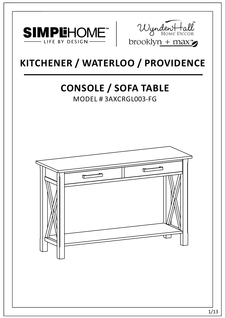



# **KITCHENER / WATERLOO / PROVIDENCE**

# **CONSOLE / SOFA TABLE**

MODEL # 3AXCRGL003-FG

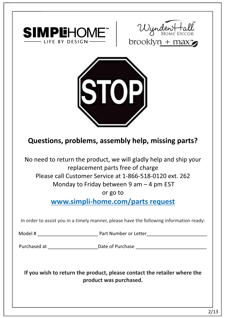





## **Questions, problems, assembly help, missing parts?**

No need to return the product, we will gladly help and ship your replacement parts free of charge Please call Customer Service at 1-866-518-0120 ext. 262 Monday to Friday between 9 am – 4 pm EST

or go to

**www.simpli-home.com/parts request** 

In order to assist you in a timely manner, please have the following information ready:

Model # \_\_\_\_\_\_\_\_\_\_\_\_\_\_\_\_\_\_\_\_\_\_\_ Part Number or Letter\_\_\_\_\_\_\_\_\_\_\_\_\_\_\_\_\_\_\_\_\_\_\_

Purchased at \_\_\_\_\_\_\_\_\_\_\_\_\_\_\_\_\_\_\_\_\_\_\_\_\_\_\_\_\_Date of Purchase \_\_\_\_\_\_\_\_\_\_\_\_\_\_\_\_\_\_\_\_\_\_

**If you wish to return the product, please contact the retailer where the product was purchased.**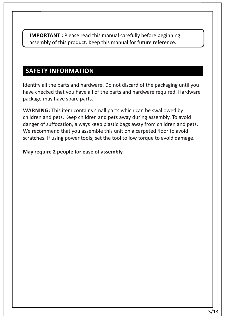**IMPORTANT :** Please read this manual carefully before beginning assembly of this product. Keep this manual for future reference.

## **SAFETY INFORMATION**

Identify all the parts and hardware. Do not discard of the packaging until you have checked that you have all of the parts and hardware required. Hardware package may have spare parts.

**WARNING:** This item contains small parts which can be swallowed by children and pets. Keep children and pets away during assembly. To avoid danger of suffocation, always keep plastic bags away from children and pets. We recommend that you assemble this unit on a carpeted floor to avoid scratches. If using power tools, set the tool to low torque to avoid damage.

#### **May require 2 people for ease of assembly.**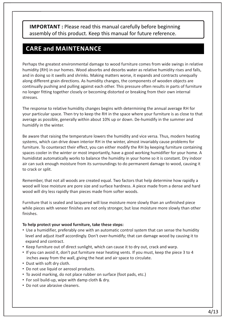**IMPORTANT :** Please read this manual carefully before beginning assembly of this product. Keep this manual for future reference.

## **CARE and MAINTENANCE**

Perhaps the greatest environmental damage to wood furniture comes from wide swings in relative humidity (RH) in our homes. Wood absorbs and desorbs water as relative humidity rises and falls, and in doing so it swells and shrinks. Making matters worse, it expands and contracts unequally along different grain directions. As humidity changes, the components of wooden objects are continually pushing and pulling against each other. This pressure often results in parts of furniture no longer fitting together closely or becoming distorted or breaking from their own internal stresses.

The response to relative humidity changes begins with determining the annual average RH for your particular space. Then try to keep the RH in the space where your furniture is as close to that average as possible, generally within about 10% up or down. De-humidify in the summer and humidify in the winter.

Be aware that raising the temperature lowers the humidity and vice versa. Thus, modern heating systems, which can drive down interior RH in the winter, almost invariably cause problems for furniture. To counteract their effect, you can either modify the RH by keeping furniture containing spaces cooler in the winter or most importantly, have a good working humidifier for your home. A humidistat automatically works to balance the humidity in your home so it is constant. Dry indoor air can suck enough moisture from its surroundings to do permanent damage to wood, causing it to crack or split.

Remember, that not all woods are created equal. Two factors that help determine how rapidly a wood will lose moisture are pore size and surface hardness. A piece made from a dense and hard wood will dry less rapidly than pieces made from softer woods.

Furniture that is sealed and lacquered will lose moisture more slowly than an unfinished piece while pieces with veneer finishes are not only stronger, but lose moisture more slowly than other finishes.

#### **To help protect your wood furniture, take these steps:**

- Use a humidifier, preferably one with an automatic control system that can sense the humidity level and adjust itself accordingly. Don't over-humidify; that can damage wood by causing it to expand and contract.
- Keep furniture out of direct sunlight, which can cause it to dry out, crack and warp.
- If you can avoid it, don't put furniture near heating vents. If you must, keep the piece 3 to 4 inches away from the wall, giving the heat and air space to circulate.
- Dust with soft dry cloth.
- Do not use liquid or aerosol products.
- To avoid marking, do not place rubber on surface (foot pads, etc.)
- For soil build-up, wipe with damp cloth & dry.
- Do not use abrasive cleaners.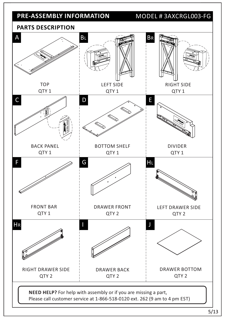## **PRE-ASSEMBLY INFORMATION** MODEL # 3AXCRGL003-FG

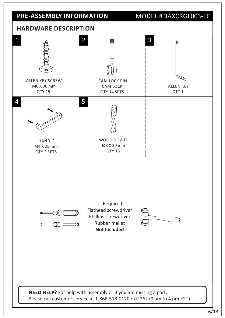

**NEED HELP?** For help with assembly or if you are missing a part, Please call customer service at 1-866-518-0120 ext. 262 (9 am to 4 pm EST)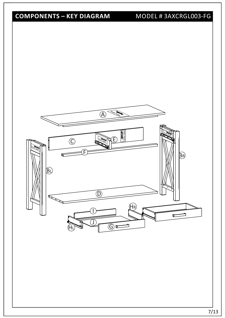## **COMPONENTS – KEY DIAGRAM**

## MODEL # 3AXCRGL003-FG

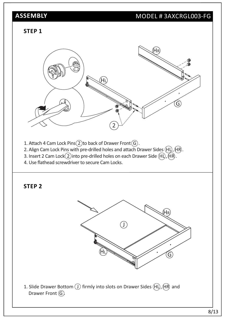## MODEL # 3AXCRGL003-FG

#### **STEP 1**



- 1. Attach 4 Cam Lock Pins $(2)$ to back of Drawer Front $(\widehat{G})$ .
- 2. Align Cam Lock Pins with pre-drilled holes and attach Drawer Sides  $(H)$ ,  $(H)$ .
- 3. Insert 2 Cam Lock  $(2)$  into pre-drilled holes on each Drawer Side  $(H)$ ,  $(H)$ .
- 4. Use flathead screwdriver to secure Cam Locks.

### **STEP 2**



1. Slide Drawer Bottom  $\textcircled{\textsc{i}}$  firmly into slots on Drawer Sides  $\textcircled{\textsc{H}}$ ,  $\textcircled{\textsc{H}}$  and Drawer Front  $\textcircled{\scriptsize{G}}$ .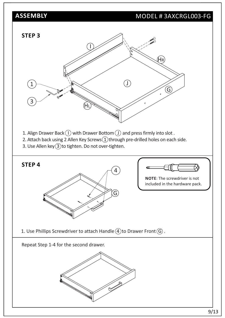## MODEL # 3AXCRGL003-FG

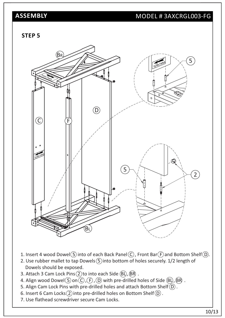## MODEL # 3AXCRGL003-FG

#### **STEP 5**



- 1. Insert 4 wood Dowel  $(5)$  into of each Back Panel  $(6)$ , Front Bar  $(F)$  and Bottom Shelf  $(D)$ .
- 2. Use rubber mallet to tap Dowels  $(5)$  into bottom of holes securely. 1/2 length of Dowels should be exposed.
- 3. Attach 3 Cam Lock Pins  $(2)$  to into each Side  $(BL)$ ,  $(BR)$ .
- 4. Align wood Dowel  $(5)$  on  $(6)$ ,  $(F)$ ,  $(D)$  with pre-drilled holes of Side  $(B)$ ,  $(B)$ .
- 5. Align Cam Lock Pins with pre-drilled holes and attach Bottom Shelf $(D)$ .
- 6. Insert 6 Cam Locks $(2)$  into pre-drilled holes on Bottom Shelf $(D)$ .
- 7. Use flathead screwdriver secure Cam Locks.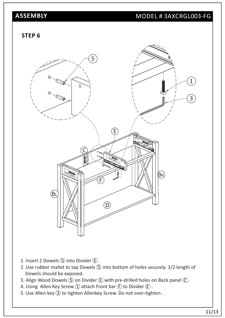## MODEL # 3AXCRGL003-FG

#### **STEP 6**



- 1. Insert 2 Dowels  $\circledS$  into Divider  $\circledE$ .
- 2. Use rubber mallet to tap Dowels  $\circledS$  into bottom of holes securely. 1/2 length of Dowels should be exposed.
- 3. Align Wood Dowels  $(5)$  on Divider  $(6)$  with pre-drilled holes on Back panel  $(6)$ .
- 4. Using Allen Key Screw  $(1)$  attach Front bar  $(F)$  to Divider  $(E)$ .
- 5. Use Allen key 3 to tighten Allenkey Screw. Do not over-tighten.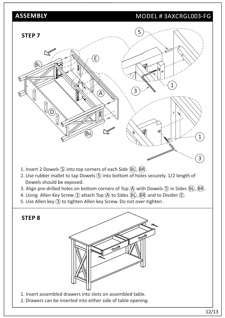## MODEL # 3AXCRGL003-FG



12/13